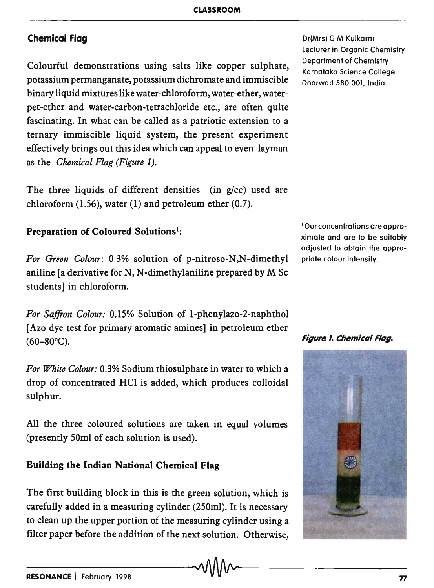## Chemical Flag

Colourful demonstrations using salts like copper sulphate, potassium permanganate, potassium dichromate and immiscible binary liquid mixtures like water-chloroform, water-ether, waterpet-ether and water-carbon-tetrachloride etc., are often quite fascinating. In what can be called as a patriotic extension to a ternary immiscible liquid system, the present experiment effectively brings out this idea which can appeal to even layman as the *Chemical Flag (Figure 1).* 

The three liquids of different densities (in  $g/cc$ ) used are chloroform  $(1.56)$ , water  $(1)$  and petroleum ether  $(0.7)$ .

## Preparation of Coloured Solutions<sup>1</sup>:

*For Green Colour:* 0.3% solution of p-nitroso-N,N-dimethyl aniline [a derivative for N, N-dimethylaniline prepared by M Sc students] in chloroform.

*For Saffron Colour:* 0.15% Solution of I-phenylazo-2-naphthol [Azo dye test for primary aromatic amines] in petroleum ether  $(60-80°C)$ . Figure 1. Chemical Flag.

*For White Colour:* 0.3% Sodium thiosulphate in water to which a drop of concentrated HCI is added, which produces colloidal sulphur.

All the three coloured solutions are taken in equal volumes (presently 50ml of each solution is used).

## Building the Indian National Chemical Flag

The first building block in this is the green solution, which is carefully added in a measuring cylinder (250ml). It is necessary to clean up the upper portion of the measuring cylinder using a filter paper before the addition of the next solution. Otherwise, Dr(Mrs) G M Kulkarni lecturer in Organic Chemistry Department of Chemistry Karnataka Science College Dharwad 580 001, India

lOur concentrations are approximate and are to be suitably adjusted to obtain the appropriate colour intensity.